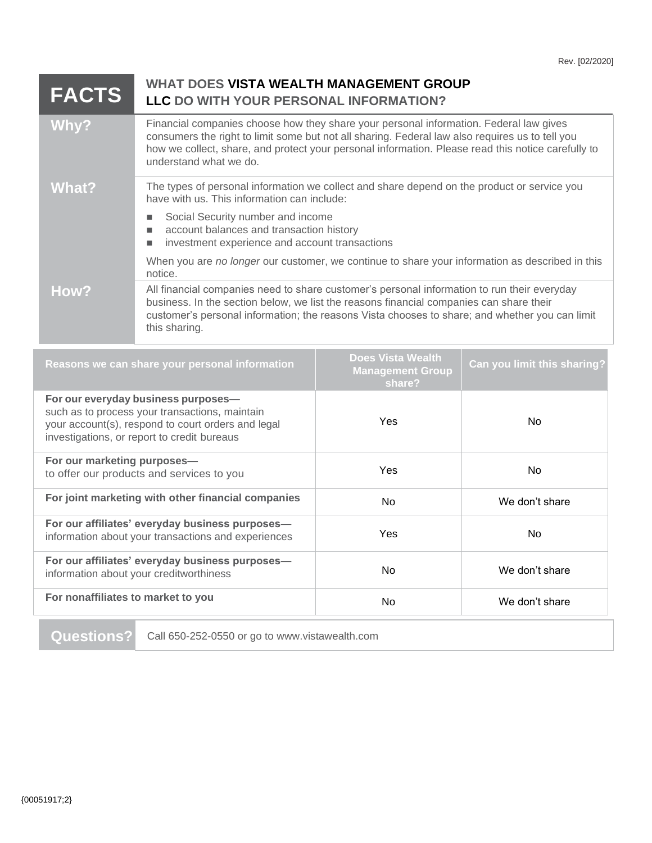| <b>FACTS</b> | <b>WHAT DOES VISTA WEALTH MANAGEMENT GROUP</b><br>LLC DO WITH YOUR PERSONAL INFORMATION?                                                                                                                                                                                                                                  |
|--------------|---------------------------------------------------------------------------------------------------------------------------------------------------------------------------------------------------------------------------------------------------------------------------------------------------------------------------|
| Why?         | Financial companies choose how they share your personal information. Federal law gives<br>consumers the right to limit some but not all sharing. Federal law also requires us to tell you<br>how we collect, share, and protect your personal information. Please read this notice carefully to<br>understand what we do. |
| What?        | The types of personal information we collect and share depend on the product or service you<br>have with us. This information can include:                                                                                                                                                                                |
|              | Social Security number and income<br>account balances and transaction history<br>ш<br>investment experience and account transactions                                                                                                                                                                                      |
|              | When you are no longer our customer, we continue to share your information as described in this<br>notice.                                                                                                                                                                                                                |
| How?         | All financial companies need to share customer's personal information to run their everyday<br>business. In the section below, we list the reasons financial companies can share their<br>customer's personal information; the reasons Vista chooses to share; and whether you can limit<br>this sharing.                 |

| Reasons we can share your personal information                                                                                                                                             | <b>Does Vista Wealth</b><br><b>Management Group</b><br>share? | Can you limit this sharing? |
|--------------------------------------------------------------------------------------------------------------------------------------------------------------------------------------------|---------------------------------------------------------------|-----------------------------|
| For our everyday business purposes-<br>such as to process your transactions, maintain<br>your account(s), respond to court orders and legal<br>investigations, or report to credit bureaus | <b>Yes</b>                                                    | No.                         |
| For our marketing purposes-<br>to offer our products and services to you                                                                                                                   | Yes                                                           | N <sub>o</sub>              |
| For joint marketing with other financial companies                                                                                                                                         | No.                                                           | We don't share              |
| For our affiliates' everyday business purposes-<br>information about your transactions and experiences                                                                                     | Yes                                                           | No.                         |
| For our affiliates' everyday business purposes-<br>information about your creditworthiness                                                                                                 | No.                                                           | We don't share              |
| For nonaffiliates to market to you                                                                                                                                                         | No.                                                           | We don't share              |

**Questions?** Call 650-252-0550 or go to www.vistawealth.com